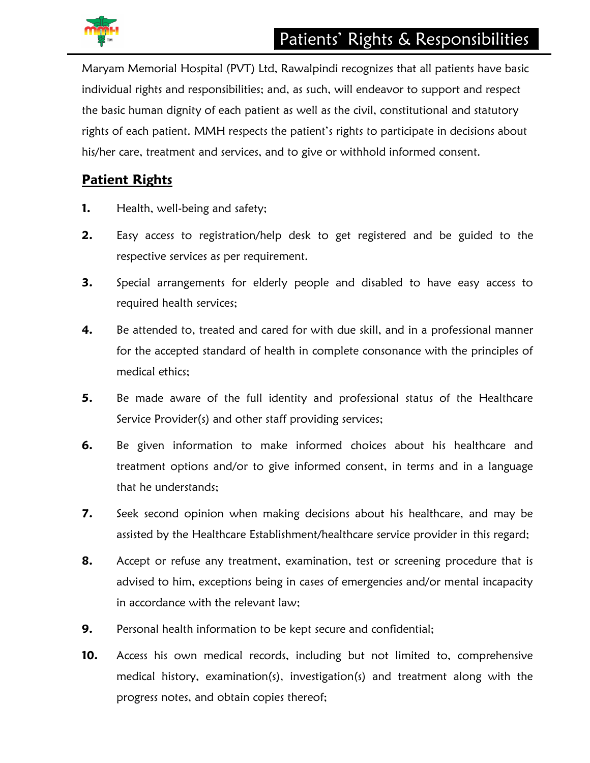

Maryam Memorial Hospital (PVT) Ltd, Rawalpindi recognizes that all patients have basic individual rights and responsibilities; and, as such, will endeavor to support and respect the basic human dignity of each patient as well as the civil, constitutional and statutory rights of each patient. MMH respects the patient's rights to participate in decisions about his/her care, treatment and services, and to give or withhold informed consent.

## **Patient Rights**

- **1.** Health, well-being and safety;
- **2.** Easy access to registration/help desk to get registered and be guided to the respective services as per requirement.
- **3.** Special arrangements for elderly people and disabled to have easy access to required health services;
- **4.** Be attended to, treated and cared for with due skill, and in a professional manner for the accepted standard of health in complete consonance with the principles of medical ethics;
- **5.** Be made aware of the full identity and professional status of the Healthcare Service Provider(s) and other staff providing services;
- **6.** Be given information to make informed choices about his healthcare and treatment options and/or to give informed consent, in terms and in a language that he understands;
- **7.** Seek second opinion when making decisions about his healthcare, and may be assisted by the Healthcare Establishment/healthcare service provider in this regard;
- **8.** Accept or refuse any treatment, examination, test or screening procedure that is advised to him, exceptions being in cases of emergencies and/or mental incapacity in accordance with the relevant law;
- **9.** Personal health information to be kept secure and confidential;
- **10.** Access his own medical records, including but not limited to, comprehensive medical history, examination(s), investigation(s) and treatment along with the progress notes, and obtain copies thereof;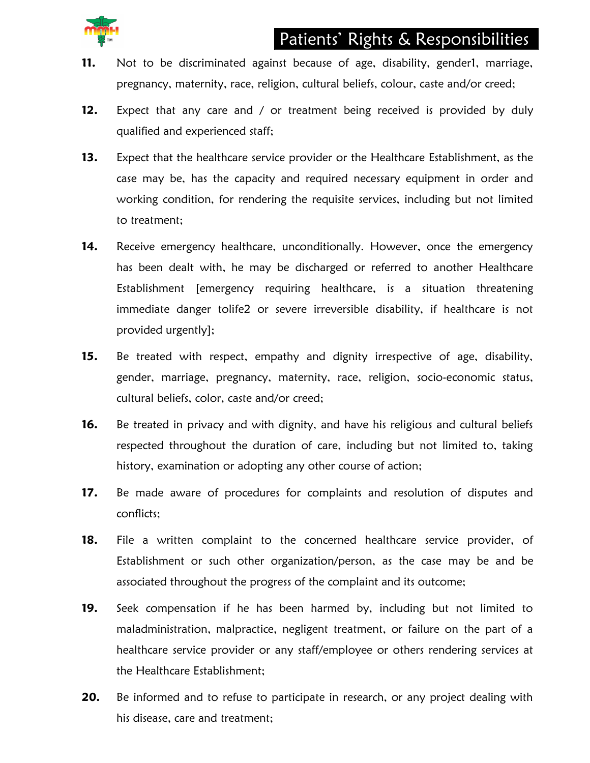## Patients' Rights & Responsibilities

- **11.** Not to be discriminated against because of age, disability, gender1, marriage, pregnancy, maternity, race, religion, cultural beliefs, colour, caste and/or creed;
- **12.** Expect that any care and / or treatment being received is provided by duly qualified and experienced staff;
- **13.** Expect that the healthcare service provider or the Healthcare Establishment, as the case may be, has the capacity and required necessary equipment in order and working condition, for rendering the requisite services, including but not limited to treatment;
- **14.** Receive emergency healthcare, unconditionally. However, once the emergency has been dealt with, he may be discharged or referred to another Healthcare Establishment [emergency requiring healthcare, is a situation threatening immediate danger tolife2 or severe irreversible disability, if healthcare is not provided urgently];
- **15.** Be treated with respect, empathy and dignity irrespective of age, disability, gender, marriage, pregnancy, maternity, race, religion, socio-economic status, cultural beliefs, color, caste and/or creed;
- **16.** Be treated in privacy and with dignity, and have his religious and cultural beliefs respected throughout the duration of care, including but not limited to, taking history, examination or adopting any other course of action;
- **17.** Be made aware of procedures for complaints and resolution of disputes and conflicts;
- **18.** File a written complaint to the concerned healthcare service provider, of Establishment or such other organization/person, as the case may be and be associated throughout the progress of the complaint and its outcome;
- **19.** Seek compensation if he has been harmed by, including but not limited to maladministration, malpractice, negligent treatment, or failure on the part of a healthcare service provider or any staff/employee or others rendering services at the Healthcare Establishment;
- **20.** Be informed and to refuse to participate in research, or any project dealing with his disease, care and treatment;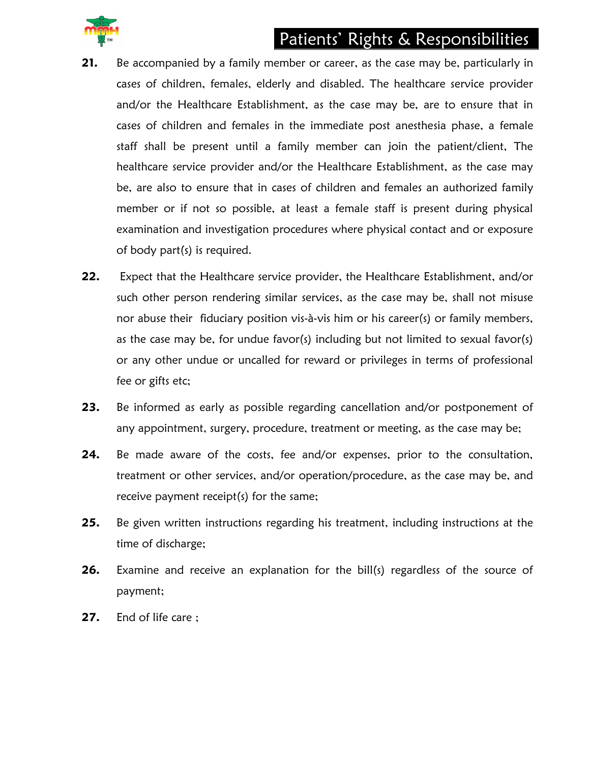# Patients' Rights & Responsibilities



- **21.** Be accompanied by a family member or career, as the case may be, particularly in cases of children, females, elderly and disabled. The healthcare service provider and/or the Healthcare Establishment, as the case may be, are to ensure that in cases of children and females in the immediate post anesthesia phase, a female staff shall be present until a family member can join the patient/client, The healthcare service provider and/or the Healthcare Establishment, as the case may be, are also to ensure that in cases of children and females an authorized family member or if not so possible, at least a female staff is present during physical examination and investigation procedures where physical contact and or exposure of body part(s) is required.
- **22.** Expect that the Healthcare service provider, the Healthcare Establishment, and/or such other person rendering similar services, as the case may be, shall not misuse nor abuse their fiduciary position vis-à-vis him or his career(s) or family members, as the case may be, for undue favor(s) including but not limited to sexual favor(s) or any other undue or uncalled for reward or privileges in terms of professional fee or gifts etc;
- **23.** Be informed as early as possible regarding cancellation and/or postponement of any appointment, surgery, procedure, treatment or meeting, as the case may be;
- 24. Be made aware of the costs, fee and/or expenses, prior to the consultation, treatment or other services, and/or operation/procedure, as the case may be, and receive payment receipt(s) for the same;
- **25.** Be given written instructions regarding his treatment, including instructions at the time of discharge;
- **26.** Examine and receive an explanation for the bill(s) regardless of the source of payment;
- **27.** End of life care ;